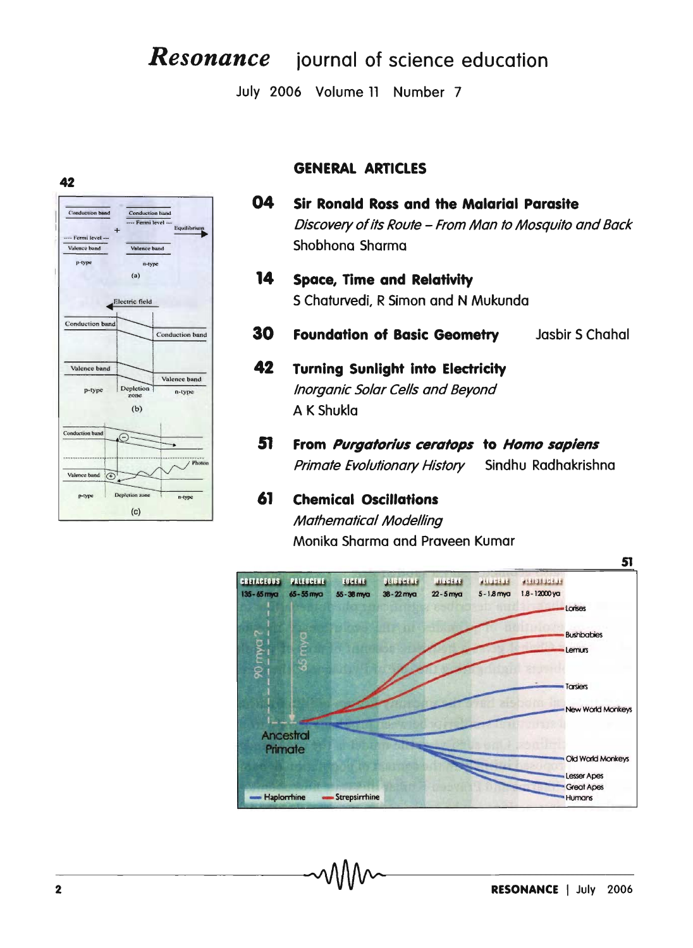# **Resonance** journal of science education

July 2006 Volume 11 Number 7

## **GENERAL ARTICLES**

- 04 **Sir Ronald Ross and the Malarial Parasite** Discovery of its Route - From Man to Mosquito and Back Shobhona Sharma
- 14 **Space, Time and Relativity** S Chaturvedi, R Simon and N Mukunda
- 30 **Foundation of Basic Geometry** Jasbir S Chahal

### 42 **Turning Sunlight into Electricity** Inorganic Solar Cells and Beyond A K Shukla

51 From Purgatorius ceratops to Homo sapiens **Primate Evolutionary History** Sindhu Radhakrishna

### 61 **Chemical Oscillations**

**Mathematical Modelling** Monika Sharma and Praveen Kumar





42